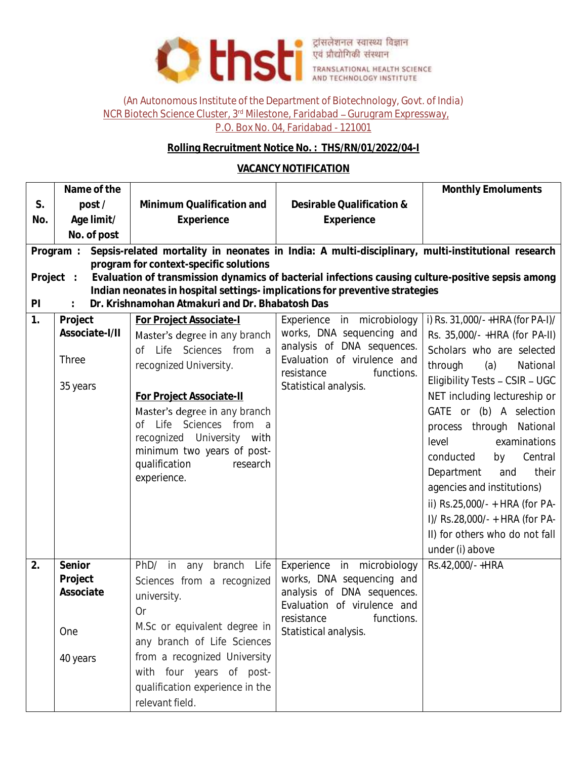

## (An Autonomous Institute of the Department of Biotechnology, Govt. of India) NCR Biotech Science Cluster, 3<sup>rd</sup> Milestone, Faridabad - Gurugram Expressway, P.O. Box No. 04, Faridabad - 121001

## **Rolling Recruitment Notice No. : THS/RN/01/2022/04-I**

## **VACANCY NOTIFICATION**

|                                                                                                                                                                                               | Name of the                                                                                                                                              |                                                         |                                                         | Monthly Emoluments              |  |  |  |  |
|-----------------------------------------------------------------------------------------------------------------------------------------------------------------------------------------------|----------------------------------------------------------------------------------------------------------------------------------------------------------|---------------------------------------------------------|---------------------------------------------------------|---------------------------------|--|--|--|--|
| S.                                                                                                                                                                                            | post/                                                                                                                                                    | Minimum Qualification and                               | Desirable Qualification &                               |                                 |  |  |  |  |
| No.                                                                                                                                                                                           | Age limit/                                                                                                                                               | Experience                                              | Experience                                              |                                 |  |  |  |  |
|                                                                                                                                                                                               | No. of post                                                                                                                                              |                                                         |                                                         |                                 |  |  |  |  |
|                                                                                                                                                                                               | Sepsis-related mortality in neonates in India: A multi-disciplinary, multi-institutional research<br>Program :<br>program for context-specific solutions |                                                         |                                                         |                                 |  |  |  |  |
| Evaluation of transmission dynamics of bacterial infections causing culture-positive sepsis among<br>Project :<br>Indian neonates in hospital settings-implications for preventive strategies |                                                                                                                                                          |                                                         |                                                         |                                 |  |  |  |  |
| Dr. Krishnamohan Atmakuri and Dr. Bhabatosh Das<br>PI                                                                                                                                         |                                                                                                                                                          |                                                         |                                                         |                                 |  |  |  |  |
| 1.                                                                                                                                                                                            | Project                                                                                                                                                  | For Project Associate-I                                 | Experience in microbiology                              | i) Rs. 31,000/-+HRA (for PA-I)/ |  |  |  |  |
|                                                                                                                                                                                               | Associate-I/II                                                                                                                                           | Master's degree in any branch                           | works, DNA sequencing and                               | Rs. 35,000/- +HRA (for PA-II)   |  |  |  |  |
|                                                                                                                                                                                               |                                                                                                                                                          | Life Sciences from<br>a<br>of                           | analysis of DNA sequences.                              | Scholars who are selected       |  |  |  |  |
|                                                                                                                                                                                               | Three                                                                                                                                                    | recognized University.                                  | Evaluation of virulence and<br>functions.               | through<br>National<br>(a)      |  |  |  |  |
|                                                                                                                                                                                               | 35 years                                                                                                                                                 |                                                         | resistance<br>Statistical analysis.                     | Eligibility Tests - CSIR - UGC  |  |  |  |  |
|                                                                                                                                                                                               |                                                                                                                                                          | For Project Associate-II                                |                                                         | NET including lectureship or    |  |  |  |  |
|                                                                                                                                                                                               |                                                                                                                                                          | Master's degree in any branch                           |                                                         | GATE or (b) A selection         |  |  |  |  |
|                                                                                                                                                                                               |                                                                                                                                                          | of Life Sciences from a                                 |                                                         | process through National        |  |  |  |  |
|                                                                                                                                                                                               |                                                                                                                                                          | recognized University with                              |                                                         | examinations<br>level           |  |  |  |  |
|                                                                                                                                                                                               |                                                                                                                                                          | minimum two years of post-<br>qualification<br>research |                                                         | conducted<br>Central<br>by      |  |  |  |  |
|                                                                                                                                                                                               |                                                                                                                                                          | experience.                                             |                                                         | their<br>Department<br>and      |  |  |  |  |
|                                                                                                                                                                                               |                                                                                                                                                          |                                                         |                                                         | agencies and institutions)      |  |  |  |  |
|                                                                                                                                                                                               |                                                                                                                                                          |                                                         |                                                         | ii) Rs.25,000/- + HRA (for PA-  |  |  |  |  |
|                                                                                                                                                                                               |                                                                                                                                                          |                                                         |                                                         | I)/ Rs.28,000/- + HRA (for PA-  |  |  |  |  |
|                                                                                                                                                                                               |                                                                                                                                                          |                                                         |                                                         | II) for others who do not fall  |  |  |  |  |
|                                                                                                                                                                                               |                                                                                                                                                          |                                                         |                                                         | under (i) above                 |  |  |  |  |
| 2.                                                                                                                                                                                            | Senior                                                                                                                                                   | branch<br>$PhD/$ in<br>Life<br>any                      | Experience in microbiology                              | Rs.42,000/-+HRA                 |  |  |  |  |
|                                                                                                                                                                                               | Project<br>Associate                                                                                                                                     | Sciences from a recognized                              | works, DNA sequencing and<br>analysis of DNA sequences. |                                 |  |  |  |  |
|                                                                                                                                                                                               |                                                                                                                                                          | university.                                             | Evaluation of virulence and                             |                                 |  |  |  |  |
|                                                                                                                                                                                               |                                                                                                                                                          | 0r                                                      | functions.<br>resistance                                |                                 |  |  |  |  |
|                                                                                                                                                                                               | One                                                                                                                                                      | M.Sc or equivalent degree in                            | Statistical analysis.                                   |                                 |  |  |  |  |
|                                                                                                                                                                                               |                                                                                                                                                          | any branch of Life Sciences                             |                                                         |                                 |  |  |  |  |
|                                                                                                                                                                                               | 40 years                                                                                                                                                 | from a recognized University                            |                                                         |                                 |  |  |  |  |
|                                                                                                                                                                                               |                                                                                                                                                          | with four years of post-                                |                                                         |                                 |  |  |  |  |
|                                                                                                                                                                                               |                                                                                                                                                          | qualification experience in the                         |                                                         |                                 |  |  |  |  |
|                                                                                                                                                                                               |                                                                                                                                                          | relevant field.                                         |                                                         |                                 |  |  |  |  |